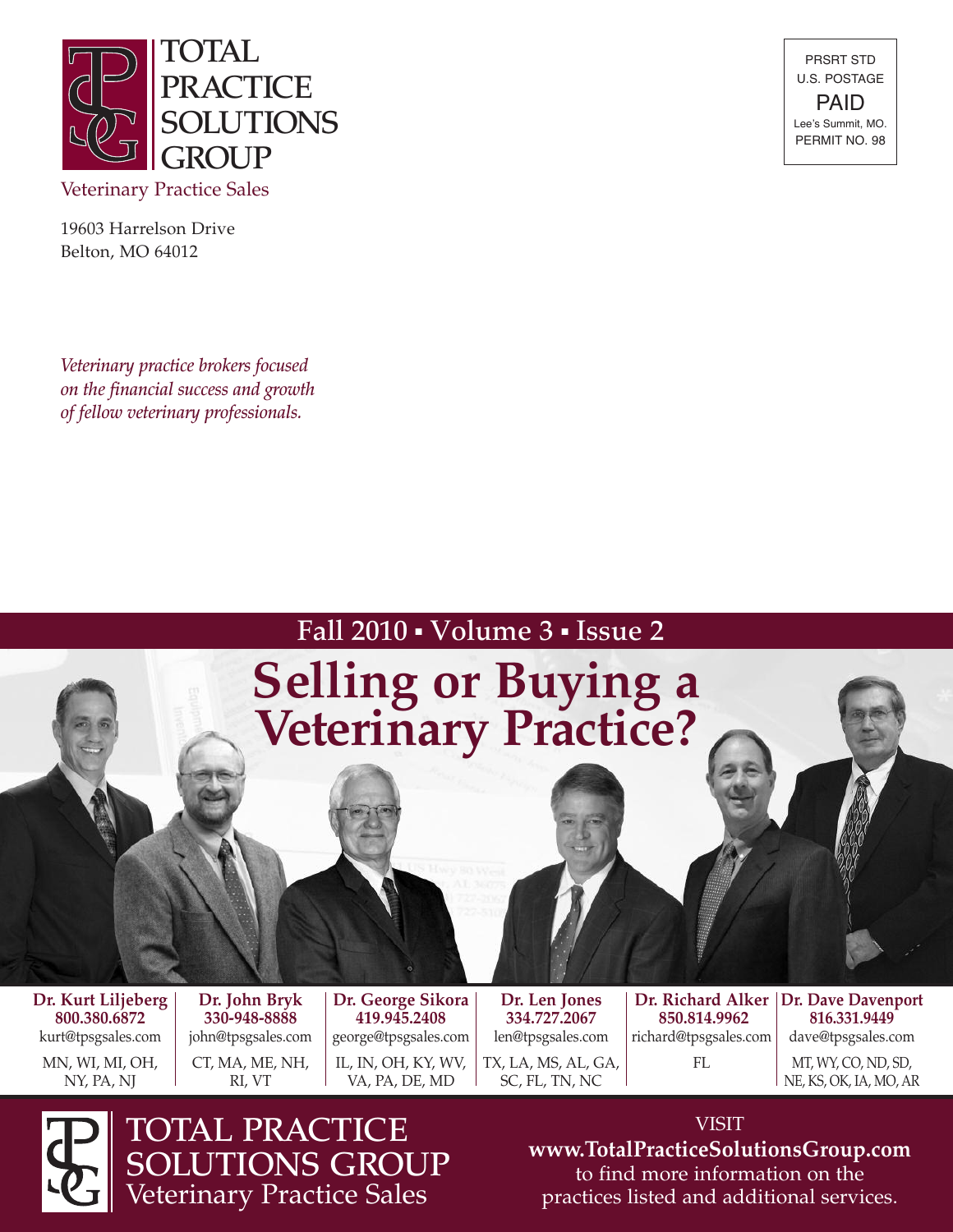

19603 Harrelson Drive Belton, MO 64012

*Veterinary practice brokers focused on the financial success and growth of fellow veterinary professionals.*

PRSRT STD U.S. POSTAGE PAID Lee's Summit, MO. PERMIT NO. 98

### Fall 2010 • Volume 3 • Issue 2

# **Selling or Buying a Veterinary Practice?**

**Dr. Kurt Liljeberg 800.380.6872** kurt@tpsgsales.com

MN, WI, MI, OH, NY, PA, NJ

**Dr. John Bryk 330-948-8888** john@tpsgsales.com CT, MA, ME, NH, RI, VT

**Dr. George Sikora 419.945.2408** george@tpsgsales.com IL, IN, OH, KY, WV, VA, PA, DE, MD

**Dr. Len Jones 334.727.2067** len@tpsgsales.com TX, LA, MS, AL, GA, SC, FL, TN, NC

**850.814.9962** richard@tpsgsales.com FL

**Dr. Richard Alker Dr. Dave Davenport 816.331.9449** dave@tpsgsales.com MT, WY, CO, ND, SD,

NE, KS, OK, IA, MO, AR



TOTAL PRACTICE SOLUTIONS GROUP Veterinary Practice Sales

VISIT **www.TotalPracticeSolutionsGroup.com** to find more information on the practices listed and additional services.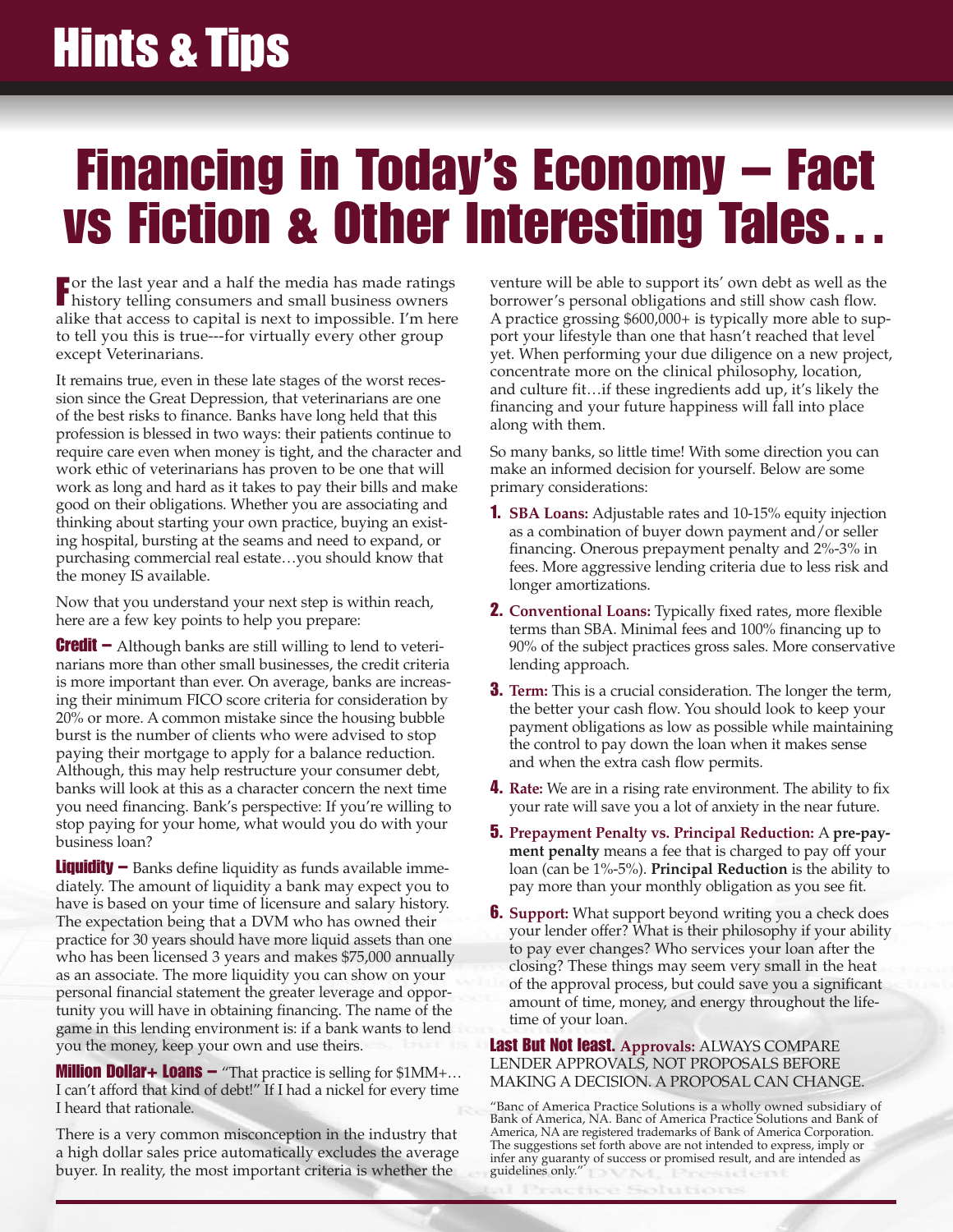### **Hints & Tips**

### **Financing in Today's Economy – Fact vs Fiction & Other Interesting Tales…**

**F** or the last year and a half the media has made ratings history telling consumers and small business owners history telling consumers and small business owners alike that access to capital is next to impossible. I'm here to tell you this is true---for virtually every other group except Veterinarians.

It remains true, even in these late stages of the worst recession since the Great Depression, that veterinarians are one of the best risks to finance. Banks have long held that this profession is blessed in two ways: their patients continue to require care even when money is tight, and the character and work ethic of veterinarians has proven to be one that will work as long and hard as it takes to pay their bills and make good on their obligations. Whether you are associating and thinking about starting your own practice, buying an existing hospital, bursting at the seams and need to expand, or purchasing commercial real estate…you should know that the money IS available.

Now that you understand your next step is within reach, here are a few key points to help you prepare:

**Credit –** Although banks are still willing to lend to veterinarians more than other small businesses, the credit criteria is more important than ever. On average, banks are increasing their minimum FICO score criteria for consideration by 20% or more. A common mistake since the housing bubble burst is the number of clients who were advised to stop paying their mortgage to apply for a balance reduction. Although, this may help restructure your consumer debt, banks will look at this as a character concern the next time you need financing. Bank's perspective: If you're willing to stop paying for your home, what would you do with your business loan?

**Liquidity –** Banks define liquidity as funds available immediately. The amount of liquidity a bank may expect you to have is based on your time of licensure and salary history. The expectation being that a DVM who has owned their practice for 30 years should have more liquid assets than one who has been licensed 3 years and makes \$75,000 annually as an associate. The more liquidity you can show on your personal financial statement the greater leverage and opportunity you will have in obtaining financing. The name of the game in this lending environment is: if a bank wants to lend you the money, keep your own and use theirs.

**Million Dollar+ Loans –** "That practice is selling for \$1MM+… I can't afford that kind of debt!" If I had a nickel for every time I heard that rationale.

There is a very common misconception in the industry that a high dollar sales price automatically excludes the average buyer. In reality, the most important criteria is whether the

venture will be able to support its' own debt as well as the borrower's personal obligations and still show cash flow. A practice grossing \$600,000+ is typically more able to support your lifestyle than one that hasn't reached that level yet. When performing your due diligence on a new project, concentrate more on the clinical philosophy, location, and culture fit…if these ingredients add up, it's likely the financing and your future happiness will fall into place along with them.

So many banks, so little time! With some direction you can make an informed decision for yourself. Below are some primary considerations:

- **1. SBA Loans:** Adjustable rates and 10-15% equity injection as a combination of buyer down payment and/or seller financing. Onerous prepayment penalty and 2%-3% in fees. More aggressive lending criteria due to less risk and longer amortizations.
- **2. Conventional Loans:** Typically fixed rates, more flexible terms than SBA. Minimal fees and 100% financing up to 90% of the subject practices gross sales. More conservative lending approach.
- **3. Term:** This is a crucial consideration. The longer the term, the better your cash flow. You should look to keep your payment obligations as low as possible while maintaining the control to pay down the loan when it makes sense and when the extra cash flow permits.
- **4. Rate:** We are in a rising rate environment. The ability to fix your rate will save you a lot of anxiety in the near future.
- **5. Prepayment Penalty vs. Principal Reduction:** A **pre-payment penalty** means a fee that is charged to pay off your loan (can be 1%-5%). **Principal Reduction** is the ability to pay more than your monthly obligation as you see fit.
- **6.** Support: What support beyond writing you a check does your lender offer? What is their philosophy if your ability to pay ever changes? Who services your loan after the closing? These things may seem very small in the heat of the approval process, but could save you a significant amount of time, money, and energy throughout the lifetime of your loan.

**Last But Not least. Approvals:** ALWAYS COMPARE LENDER APPROVALS, NOT PROPOSALS BEFORE MAKING A DECISION. A PROPOSAL CAN CHANGE.

"Banc of America Practice Solutions is a wholly owned subsidiary of Bank of America, NA. Banc of America Practice Solutions and Bank of America, NA are registered trademarks of Bank of America Corporation. The suggestions set forth above are not intended to express, imply or infer any guaranty of success or promised result, and are intended as guidelines only."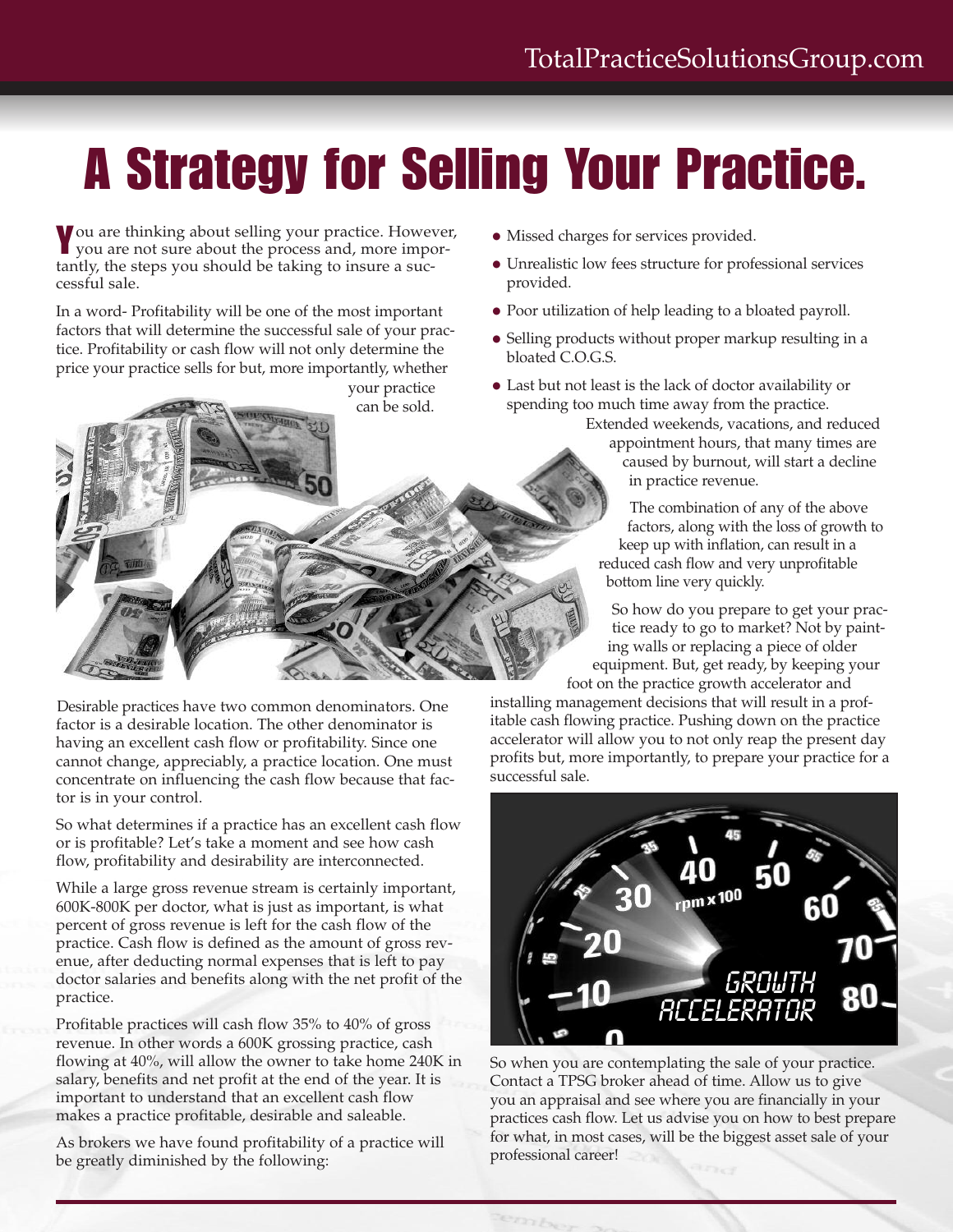## **A Strategy for Selling Your Practice.**

**Y**ou are thinking about selling your practice. However, you are not sure about the process and, more importantly, the steps you should be taking to insure a successful sale.

In a word- Profitability will be one of the most important factors that will determine the successful sale of your practice. Profitability or cash flow will not only determine the price your practice sells for but, more importantly, whether



Desirable practices have two common denominators. One factor is a desirable location. The other denominator is having an excellent cash flow or profitability. Since one cannot change, appreciably, a practice location. One must concentrate on influencing the cash flow because that factor is in your control.

So what determines if a practice has an excellent cash flow or is profitable? Let's take a moment and see how cash flow, profitability and desirability are interconnected.

While a large gross revenue stream is certainly important, 600K-800K per doctor, what is just as important, is what percent of gross revenue is left for the cash flow of the practice. Cash flow is defined as the amount of gross revenue, after deducting normal expenses that is left to pay doctor salaries and benefits along with the net profit of the practice.

Profitable practices will cash flow 35% to 40% of gross revenue. In other words a 600K grossing practice, cash flowing at 40%, will allow the owner to take home 240K in salary, benefits and net profit at the end of the year. It is important to understand that an excellent cash flow makes a practice profitable, desirable and saleable.

As brokers we have found profitability of a practice will be greatly diminished by the following:

- Missed charges for services provided.
- Unrealistic low fees structure for professional services provided.
- Poor utilization of help leading to a bloated payroll.
- Selling products without proper markup resulting in a bloated C.O.G.S.

• Last but not least is the lack of doctor availability or spending too much time away from the practice.

Extended weekends, vacations, and reduced appointment hours, that many times are caused by burnout, will start a decline in practice revenue.

The combination of any of the above factors, along with the loss of growth to keep up with inflation, can result in a reduced cash flow and very unprofitable bottom line very quickly.

So how do you prepare to get your practice ready to go to market? Not by painting walls or replacing a piece of older equipment. But, get ready, by keeping your foot on the practice growth accelerator and

installing management decisions that will result in a profitable cash flowing practice. Pushing down on the practice accelerator will allow you to not only reap the present day profits but, more importantly, to prepare your practice for a successful sale.



So when you are contemplating the sale of your practice. Contact a TPSG broker ahead of time. Allow us to give you an appraisal and see where you are financially in your practices cash flow. Let us advise you on how to best prepare for what, in most cases, will be the biggest asset sale of your professional career!